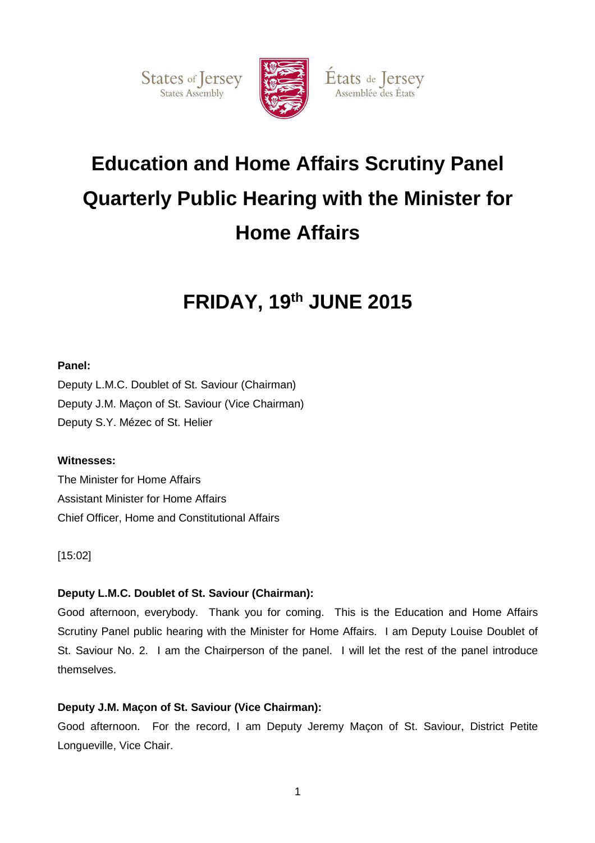States of Jersey



Etats de Jersey Assemblée des États

# **Education and Home Affairs Scrutiny Panel Quarterly Public Hearing with the Minister for Home Affairs**

## **FRIDAY, 19th JUNE 2015**

## **Panel:**

Deputy L.M.C. Doublet of St. Saviour (Chairman) Deputy J.M. Maçon of St. Saviour (Vice Chairman) Deputy S.Y. Mézec of St. Helier

## **Witnesses:**

The Minister for Home Affairs Assistant Minister for Home Affairs Chief Officer, Home and Constitutional Affairs

[15:02]

## **Deputy L.M.C. Doublet of St. Saviour (Chairman):**

Good afternoon, everybody. Thank you for coming. This is the Education and Home Affairs Scrutiny Panel public hearing with the Minister for Home Affairs. I am Deputy Louise Doublet of St. Saviour No. 2. I am the Chairperson of the panel. I will let the rest of the panel introduce themselves.

## **Deputy J.M. Maçon of St. Saviour (Vice Chairman):**

Good afternoon. For the record, I am Deputy Jeremy Maçon of St. Saviour, District Petite Longueville, Vice Chair.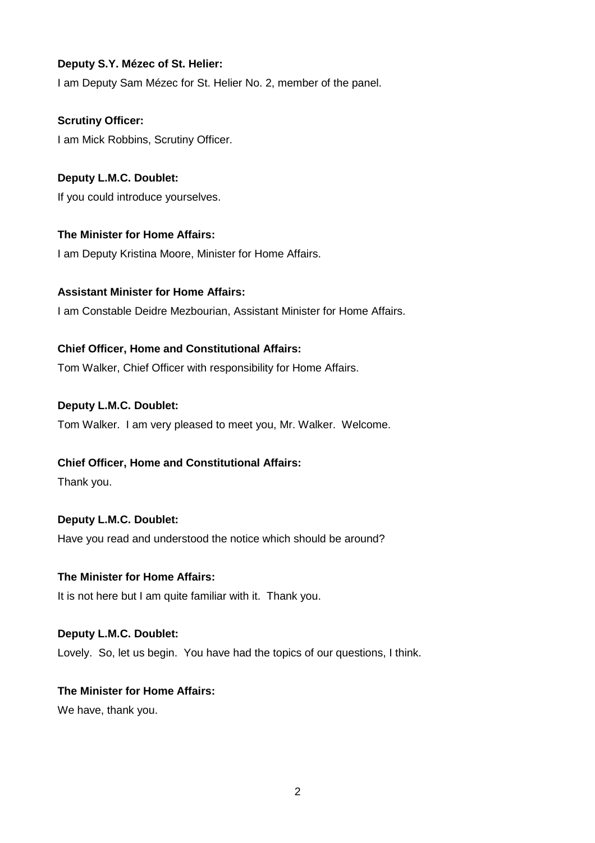## **Deputy S.Y. Mézec of St. Helier:**

I am Deputy Sam Mézec for St. Helier No. 2, member of the panel.

**Scrutiny Officer:**  I am Mick Robbins, Scrutiny Officer.

**Deputy L.M.C. Doublet:** If you could introduce yourselves.

**The Minister for Home Affairs:**  I am Deputy Kristina Moore, Minister for Home Affairs.

**Assistant Minister for Home Affairs:**  I am Constable Deidre Mezbourian, Assistant Minister for Home Affairs.

## **Chief Officer, Home and Constitutional Affairs:**

Tom Walker, Chief Officer with responsibility for Home Affairs.

#### **Deputy L.M.C. Doublet:**

Tom Walker. I am very pleased to meet you, Mr. Walker. Welcome.

#### **Chief Officer, Home and Constitutional Affairs:**

Thank you.

## **Deputy L.M.C. Doublet:**

Have you read and understood the notice which should be around?

#### **The Minister for Home Affairs:**

It is not here but I am quite familiar with it. Thank you.

#### **Deputy L.M.C. Doublet:**

Lovely. So, let us begin. You have had the topics of our questions, I think.

## **The Minister for Home Affairs:**

We have, thank you.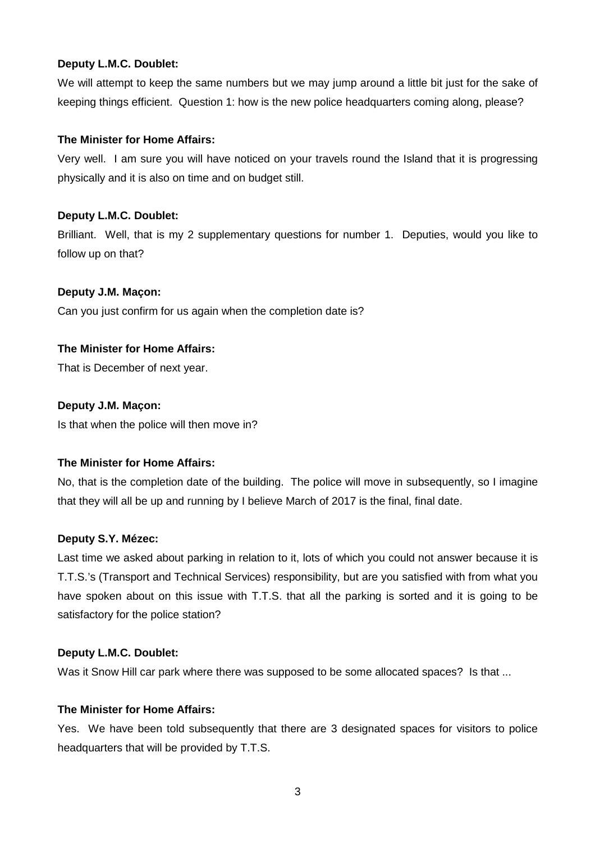We will attempt to keep the same numbers but we may jump around a little bit just for the sake of keeping things efficient. Question 1: how is the new police headquarters coming along, please?

## **The Minister for Home Affairs:**

Very well. I am sure you will have noticed on your travels round the Island that it is progressing physically and it is also on time and on budget still.

## **Deputy L.M.C. Doublet:**

Brilliant. Well, that is my 2 supplementary questions for number 1. Deputies, would you like to follow up on that?

## **Deputy J.M. Maçon:**

Can you just confirm for us again when the completion date is?

## **The Minister for Home Affairs:**

That is December of next year.

## **Deputy J.M. Maçon:**

Is that when the police will then move in?

## **The Minister for Home Affairs:**

No, that is the completion date of the building. The police will move in subsequently, so I imagine that they will all be up and running by I believe March of 2017 is the final, final date.

## **Deputy S.Y. Mézec:**

Last time we asked about parking in relation to it, lots of which you could not answer because it is T.T.S.'s (Transport and Technical Services) responsibility, but are you satisfied with from what you have spoken about on this issue with T.T.S. that all the parking is sorted and it is going to be satisfactory for the police station?

#### **Deputy L.M.C. Doublet:**

Was it Snow Hill car park where there was supposed to be some allocated spaces? Is that ...

#### **The Minister for Home Affairs:**

Yes. We have been told subsequently that there are 3 designated spaces for visitors to police headquarters that will be provided by T.T.S.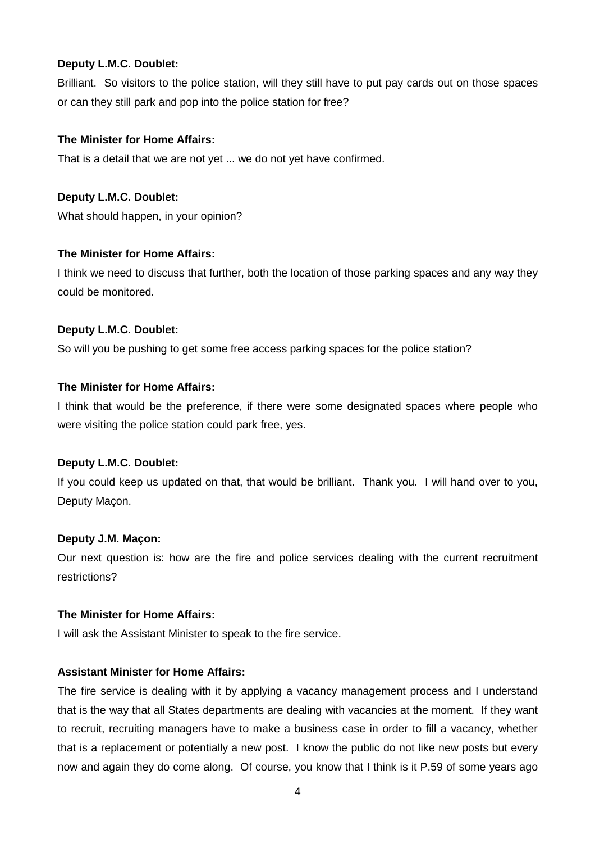Brilliant. So visitors to the police station, will they still have to put pay cards out on those spaces or can they still park and pop into the police station for free?

## **The Minister for Home Affairs:**

That is a detail that we are not yet ... we do not yet have confirmed.

## **Deputy L.M.C. Doublet:**

What should happen, in your opinion?

## **The Minister for Home Affairs:**

I think we need to discuss that further, both the location of those parking spaces and any way they could be monitored.

## **Deputy L.M.C. Doublet:**

So will you be pushing to get some free access parking spaces for the police station?

## **The Minister for Home Affairs:**

I think that would be the preference, if there were some designated spaces where people who were visiting the police station could park free, yes.

## **Deputy L.M.C. Doublet:**

If you could keep us updated on that, that would be brilliant. Thank you. I will hand over to you, Deputy Maçon.

## **Deputy J.M. Maçon:**

Our next question is: how are the fire and police services dealing with the current recruitment restrictions?

#### **The Minister for Home Affairs:**

I will ask the Assistant Minister to speak to the fire service.

## **Assistant Minister for Home Affairs:**

The fire service is dealing with it by applying a vacancy management process and I understand that is the way that all States departments are dealing with vacancies at the moment. If they want to recruit, recruiting managers have to make a business case in order to fill a vacancy, whether that is a replacement or potentially a new post. I know the public do not like new posts but every now and again they do come along. Of course, you know that I think is it P.59 of some years ago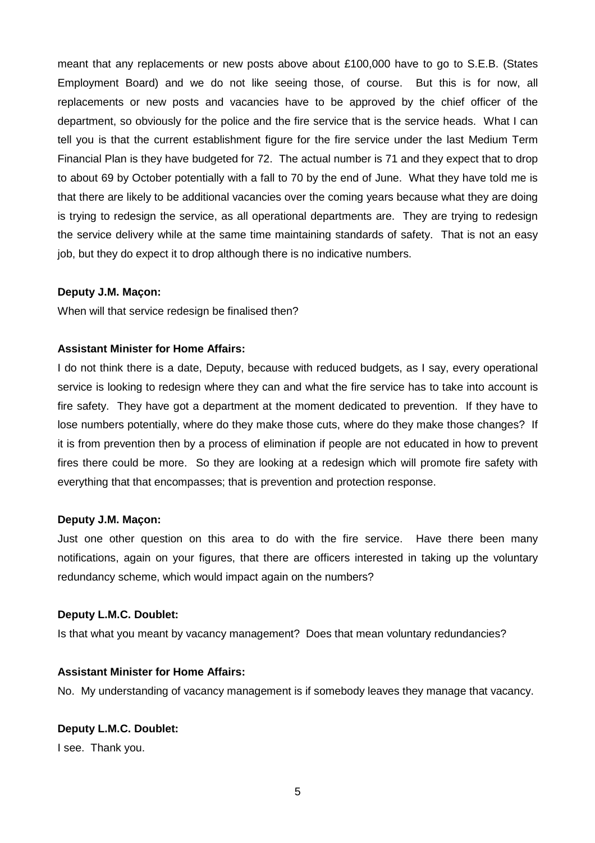meant that any replacements or new posts above about £100,000 have to go to S.E.B. (States Employment Board) and we do not like seeing those, of course. But this is for now, all replacements or new posts and vacancies have to be approved by the chief officer of the department, so obviously for the police and the fire service that is the service heads. What I can tell you is that the current establishment figure for the fire service under the last Medium Term Financial Plan is they have budgeted for 72. The actual number is 71 and they expect that to drop to about 69 by October potentially with a fall to 70 by the end of June. What they have told me is that there are likely to be additional vacancies over the coming years because what they are doing is trying to redesign the service, as all operational departments are. They are trying to redesign the service delivery while at the same time maintaining standards of safety. That is not an easy job, but they do expect it to drop although there is no indicative numbers.

#### **Deputy J.M. Maçon:**

When will that service redesign be finalised then?

#### **Assistant Minister for Home Affairs:**

I do not think there is a date, Deputy, because with reduced budgets, as I say, every operational service is looking to redesign where they can and what the fire service has to take into account is fire safety. They have got a department at the moment dedicated to prevention. If they have to lose numbers potentially, where do they make those cuts, where do they make those changes? If it is from prevention then by a process of elimination if people are not educated in how to prevent fires there could be more. So they are looking at a redesign which will promote fire safety with everything that that encompasses; that is prevention and protection response.

#### **Deputy J.M. Maçon:**

Just one other question on this area to do with the fire service. Have there been many notifications, again on your figures, that there are officers interested in taking up the voluntary redundancy scheme, which would impact again on the numbers?

#### **Deputy L.M.C. Doublet:**

Is that what you meant by vacancy management? Does that mean voluntary redundancies?

#### **Assistant Minister for Home Affairs:**

No. My understanding of vacancy management is if somebody leaves they manage that vacancy.

#### **Deputy L.M.C. Doublet:**

I see. Thank you.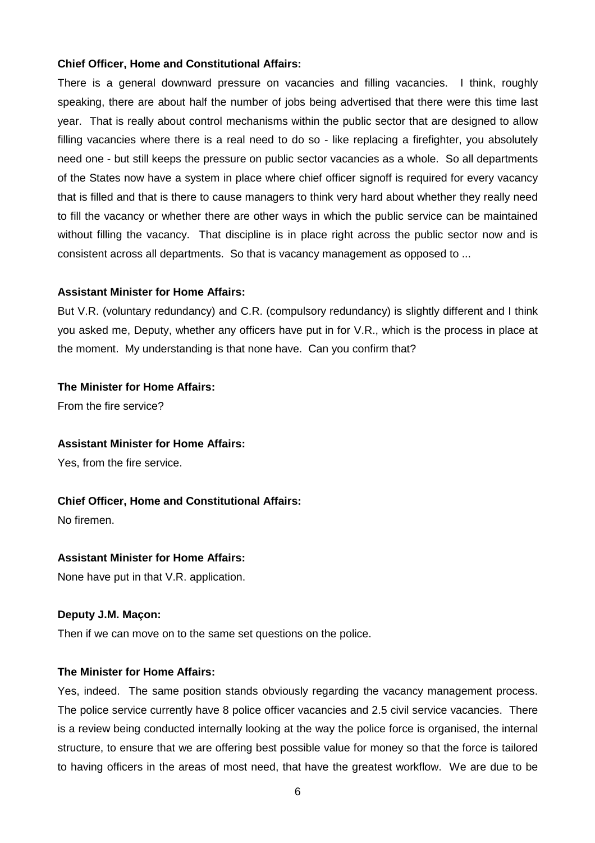#### **Chief Officer, Home and Constitutional Affairs:**

There is a general downward pressure on vacancies and filling vacancies. I think, roughly speaking, there are about half the number of jobs being advertised that there were this time last year. That is really about control mechanisms within the public sector that are designed to allow filling vacancies where there is a real need to do so - like replacing a firefighter, you absolutely need one - but still keeps the pressure on public sector vacancies as a whole. So all departments of the States now have a system in place where chief officer signoff is required for every vacancy that is filled and that is there to cause managers to think very hard about whether they really need to fill the vacancy or whether there are other ways in which the public service can be maintained without filling the vacancy. That discipline is in place right across the public sector now and is consistent across all departments. So that is vacancy management as opposed to ...

#### **Assistant Minister for Home Affairs:**

But V.R. (voluntary redundancy) and C.R. (compulsory redundancy) is slightly different and I think you asked me, Deputy, whether any officers have put in for V.R., which is the process in place at the moment. My understanding is that none have. Can you confirm that?

#### **The Minister for Home Affairs:**

From the fire service?

## **Assistant Minister for Home Affairs:**

Yes, from the fire service.

#### **Chief Officer, Home and Constitutional Affairs:**

No firemen.

#### **Assistant Minister for Home Affairs:**

None have put in that V.R. application.

#### **Deputy J.M. Maçon:**

Then if we can move on to the same set questions on the police.

#### **The Minister for Home Affairs:**

Yes, indeed. The same position stands obviously regarding the vacancy management process. The police service currently have 8 police officer vacancies and 2.5 civil service vacancies. There is a review being conducted internally looking at the way the police force is organised, the internal structure, to ensure that we are offering best possible value for money so that the force is tailored to having officers in the areas of most need, that have the greatest workflow. We are due to be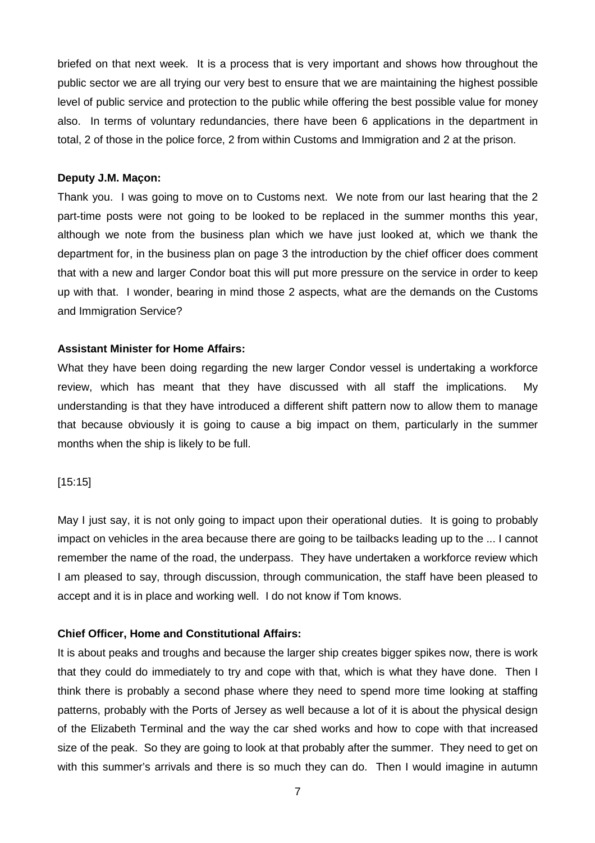briefed on that next week. It is a process that is very important and shows how throughout the public sector we are all trying our very best to ensure that we are maintaining the highest possible level of public service and protection to the public while offering the best possible value for money also. In terms of voluntary redundancies, there have been 6 applications in the department in total, 2 of those in the police force, 2 from within Customs and Immigration and 2 at the prison.

#### **Deputy J.M. Maçon:**

Thank you. I was going to move on to Customs next. We note from our last hearing that the 2 part-time posts were not going to be looked to be replaced in the summer months this year, although we note from the business plan which we have just looked at, which we thank the department for, in the business plan on page 3 the introduction by the chief officer does comment that with a new and larger Condor boat this will put more pressure on the service in order to keep up with that. I wonder, bearing in mind those 2 aspects, what are the demands on the Customs and Immigration Service?

#### **Assistant Minister for Home Affairs:**

What they have been doing regarding the new larger Condor vessel is undertaking a workforce review, which has meant that they have discussed with all staff the implications. My understanding is that they have introduced a different shift pattern now to allow them to manage that because obviously it is going to cause a big impact on them, particularly in the summer months when the ship is likely to be full.

#### [15:15]

May I just say, it is not only going to impact upon their operational duties. It is going to probably impact on vehicles in the area because there are going to be tailbacks leading up to the ... I cannot remember the name of the road, the underpass. They have undertaken a workforce review which I am pleased to say, through discussion, through communication, the staff have been pleased to accept and it is in place and working well. I do not know if Tom knows.

#### **Chief Officer, Home and Constitutional Affairs:**

It is about peaks and troughs and because the larger ship creates bigger spikes now, there is work that they could do immediately to try and cope with that, which is what they have done. Then I think there is probably a second phase where they need to spend more time looking at staffing patterns, probably with the Ports of Jersey as well because a lot of it is about the physical design of the Elizabeth Terminal and the way the car shed works and how to cope with that increased size of the peak. So they are going to look at that probably after the summer. They need to get on with this summer's arrivals and there is so much they can do. Then I would imagine in autumn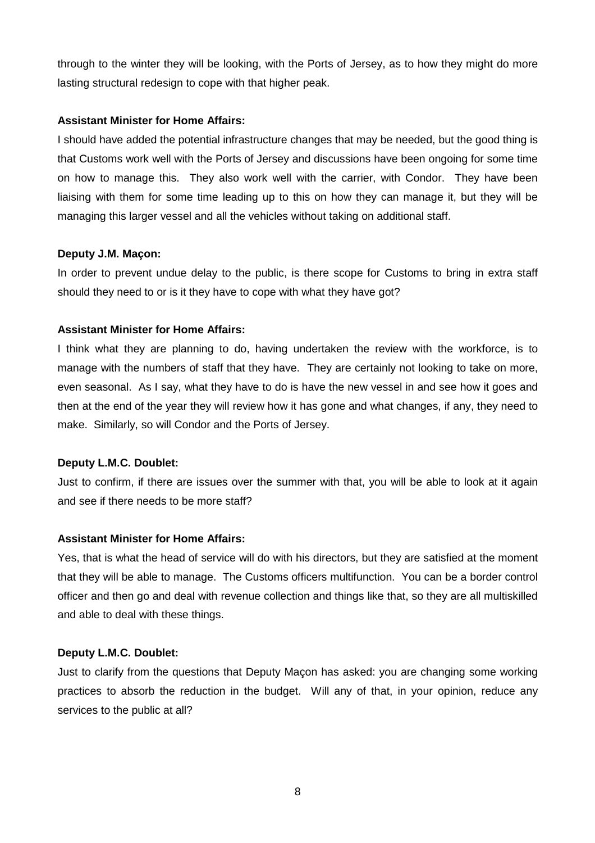through to the winter they will be looking, with the Ports of Jersey, as to how they might do more lasting structural redesign to cope with that higher peak.

## **Assistant Minister for Home Affairs:**

I should have added the potential infrastructure changes that may be needed, but the good thing is that Customs work well with the Ports of Jersey and discussions have been ongoing for some time on how to manage this. They also work well with the carrier, with Condor. They have been liaising with them for some time leading up to this on how they can manage it, but they will be managing this larger vessel and all the vehicles without taking on additional staff.

## **Deputy J.M. Maçon:**

In order to prevent undue delay to the public, is there scope for Customs to bring in extra staff should they need to or is it they have to cope with what they have got?

## **Assistant Minister for Home Affairs:**

I think what they are planning to do, having undertaken the review with the workforce, is to manage with the numbers of staff that they have. They are certainly not looking to take on more, even seasonal. As I say, what they have to do is have the new vessel in and see how it goes and then at the end of the year they will review how it has gone and what changes, if any, they need to make. Similarly, so will Condor and the Ports of Jersey.

## **Deputy L.M.C. Doublet:**

Just to confirm, if there are issues over the summer with that, you will be able to look at it again and see if there needs to be more staff?

## **Assistant Minister for Home Affairs:**

Yes, that is what the head of service will do with his directors, but they are satisfied at the moment that they will be able to manage. The Customs officers multifunction. You can be a border control officer and then go and deal with revenue collection and things like that, so they are all multiskilled and able to deal with these things.

## **Deputy L.M.C. Doublet:**

Just to clarify from the questions that Deputy Maçon has asked: you are changing some working practices to absorb the reduction in the budget. Will any of that, in your opinion, reduce any services to the public at all?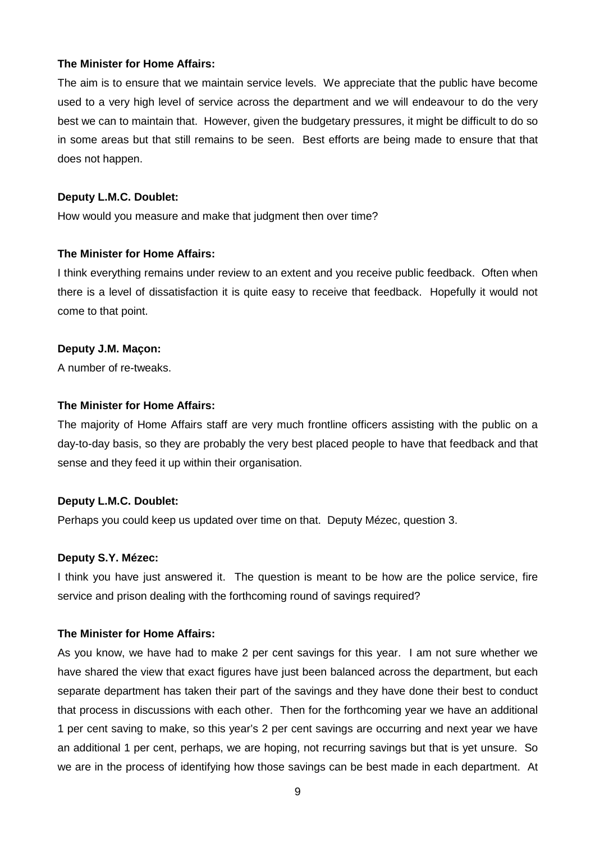#### **The Minister for Home Affairs:**

The aim is to ensure that we maintain service levels. We appreciate that the public have become used to a very high level of service across the department and we will endeavour to do the very best we can to maintain that. However, given the budgetary pressures, it might be difficult to do so in some areas but that still remains to be seen. Best efforts are being made to ensure that that does not happen.

#### **Deputy L.M.C. Doublet:**

How would you measure and make that judgment then over time?

#### **The Minister for Home Affairs:**

I think everything remains under review to an extent and you receive public feedback. Often when there is a level of dissatisfaction it is quite easy to receive that feedback. Hopefully it would not come to that point.

#### **Deputy J.M. Maçon:**

A number of re-tweaks.

#### **The Minister for Home Affairs:**

The majority of Home Affairs staff are very much frontline officers assisting with the public on a day-to-day basis, so they are probably the very best placed people to have that feedback and that sense and they feed it up within their organisation.

#### **Deputy L.M.C. Doublet:**

Perhaps you could keep us updated over time on that. Deputy Mézec, question 3.

#### **Deputy S.Y. Mézec:**

I think you have just answered it. The question is meant to be how are the police service, fire service and prison dealing with the forthcoming round of savings required?

#### **The Minister for Home Affairs:**

As you know, we have had to make 2 per cent savings for this year. I am not sure whether we have shared the view that exact figures have just been balanced across the department, but each separate department has taken their part of the savings and they have done their best to conduct that process in discussions with each other. Then for the forthcoming year we have an additional 1 per cent saving to make, so this year's 2 per cent savings are occurring and next year we have an additional 1 per cent, perhaps, we are hoping, not recurring savings but that is yet unsure. So we are in the process of identifying how those savings can be best made in each department. At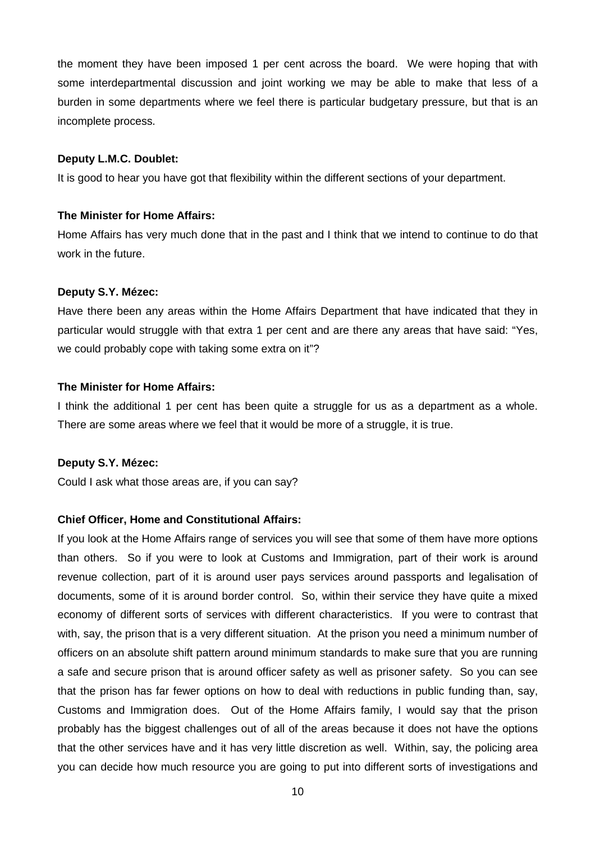the moment they have been imposed 1 per cent across the board. We were hoping that with some interdepartmental discussion and joint working we may be able to make that less of a burden in some departments where we feel there is particular budgetary pressure, but that is an incomplete process.

#### **Deputy L.M.C. Doublet:**

It is good to hear you have got that flexibility within the different sections of your department.

#### **The Minister for Home Affairs:**

Home Affairs has very much done that in the past and I think that we intend to continue to do that work in the future.

#### **Deputy S.Y. Mézec:**

Have there been any areas within the Home Affairs Department that have indicated that they in particular would struggle with that extra 1 per cent and are there any areas that have said: "Yes, we could probably cope with taking some extra on it"?

#### **The Minister for Home Affairs:**

I think the additional 1 per cent has been quite a struggle for us as a department as a whole. There are some areas where we feel that it would be more of a struggle, it is true.

#### **Deputy S.Y. Mézec:**

Could I ask what those areas are, if you can say?

#### **Chief Officer, Home and Constitutional Affairs:**

If you look at the Home Affairs range of services you will see that some of them have more options than others. So if you were to look at Customs and Immigration, part of their work is around revenue collection, part of it is around user pays services around passports and legalisation of documents, some of it is around border control. So, within their service they have quite a mixed economy of different sorts of services with different characteristics. If you were to contrast that with, say, the prison that is a very different situation. At the prison you need a minimum number of officers on an absolute shift pattern around minimum standards to make sure that you are running a safe and secure prison that is around officer safety as well as prisoner safety. So you can see that the prison has far fewer options on how to deal with reductions in public funding than, say, Customs and Immigration does. Out of the Home Affairs family, I would say that the prison probably has the biggest challenges out of all of the areas because it does not have the options that the other services have and it has very little discretion as well. Within, say, the policing area you can decide how much resource you are going to put into different sorts of investigations and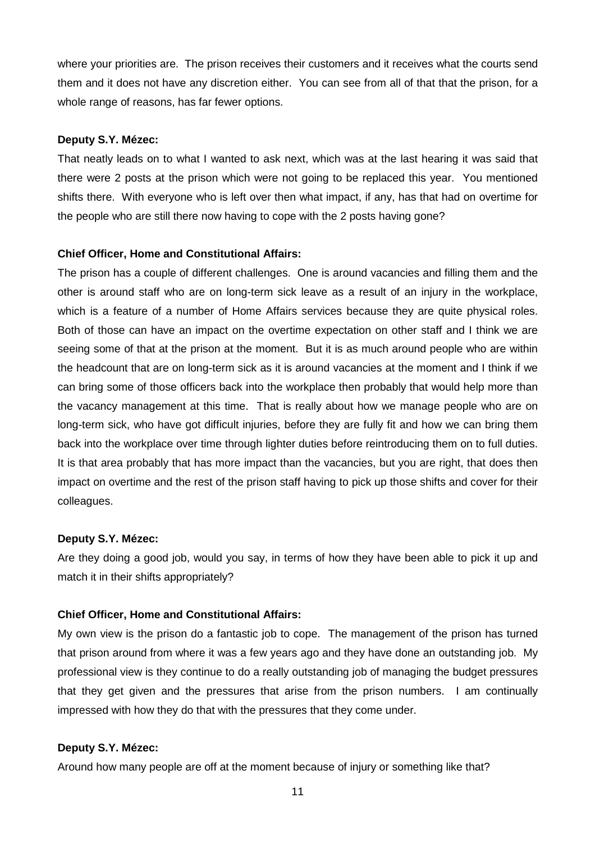where your priorities are. The prison receives their customers and it receives what the courts send them and it does not have any discretion either. You can see from all of that that the prison, for a whole range of reasons, has far fewer options.

#### **Deputy S.Y. Mézec:**

That neatly leads on to what I wanted to ask next, which was at the last hearing it was said that there were 2 posts at the prison which were not going to be replaced this year. You mentioned shifts there. With everyone who is left over then what impact, if any, has that had on overtime for the people who are still there now having to cope with the 2 posts having gone?

#### **Chief Officer, Home and Constitutional Affairs:**

The prison has a couple of different challenges. One is around vacancies and filling them and the other is around staff who are on long-term sick leave as a result of an injury in the workplace, which is a feature of a number of Home Affairs services because they are quite physical roles. Both of those can have an impact on the overtime expectation on other staff and I think we are seeing some of that at the prison at the moment. But it is as much around people who are within the headcount that are on long-term sick as it is around vacancies at the moment and I think if we can bring some of those officers back into the workplace then probably that would help more than the vacancy management at this time. That is really about how we manage people who are on long-term sick, who have got difficult injuries, before they are fully fit and how we can bring them back into the workplace over time through lighter duties before reintroducing them on to full duties. It is that area probably that has more impact than the vacancies, but you are right, that does then impact on overtime and the rest of the prison staff having to pick up those shifts and cover for their colleagues.

#### **Deputy S.Y. Mézec:**

Are they doing a good job, would you say, in terms of how they have been able to pick it up and match it in their shifts appropriately?

#### **Chief Officer, Home and Constitutional Affairs:**

My own view is the prison do a fantastic job to cope. The management of the prison has turned that prison around from where it was a few years ago and they have done an outstanding job. My professional view is they continue to do a really outstanding job of managing the budget pressures that they get given and the pressures that arise from the prison numbers. I am continually impressed with how they do that with the pressures that they come under.

#### **Deputy S.Y. Mézec:**

Around how many people are off at the moment because of injury or something like that?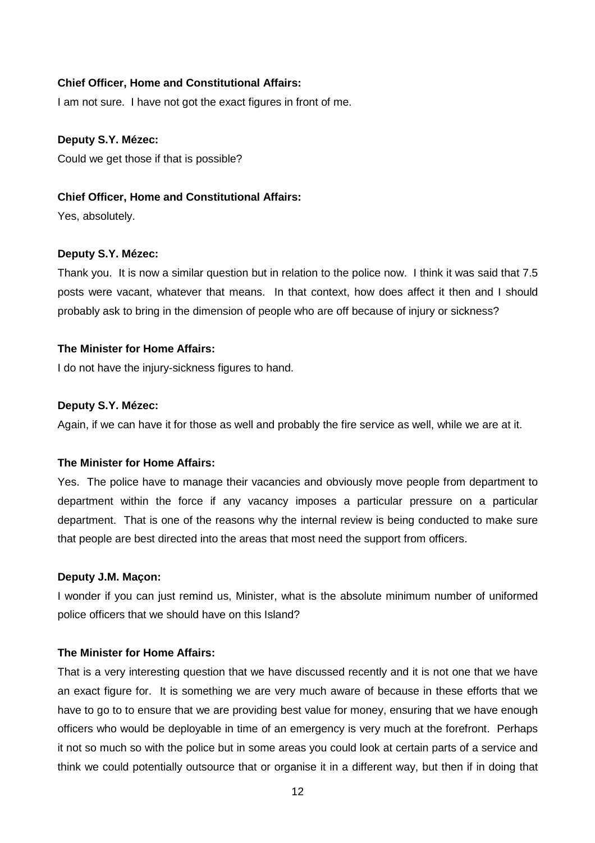#### **Chief Officer, Home and Constitutional Affairs:**

I am not sure. I have not got the exact figures in front of me.

#### **Deputy S.Y. Mézec:**

Could we get those if that is possible?

#### **Chief Officer, Home and Constitutional Affairs:**

Yes, absolutely.

#### **Deputy S.Y. Mézec:**

Thank you. It is now a similar question but in relation to the police now. I think it was said that 7.5 posts were vacant, whatever that means. In that context, how does affect it then and I should probably ask to bring in the dimension of people who are off because of injury or sickness?

#### **The Minister for Home Affairs:**

I do not have the injury-sickness figures to hand.

#### **Deputy S.Y. Mézec:**

Again, if we can have it for those as well and probably the fire service as well, while we are at it.

#### **The Minister for Home Affairs:**

Yes. The police have to manage their vacancies and obviously move people from department to department within the force if any vacancy imposes a particular pressure on a particular department. That is one of the reasons why the internal review is being conducted to make sure that people are best directed into the areas that most need the support from officers.

#### **Deputy J.M. Maçon:**

I wonder if you can just remind us, Minister, what is the absolute minimum number of uniformed police officers that we should have on this Island?

#### **The Minister for Home Affairs:**

That is a very interesting question that we have discussed recently and it is not one that we have an exact figure for. It is something we are very much aware of because in these efforts that we have to go to to ensure that we are providing best value for money, ensuring that we have enough officers who would be deployable in time of an emergency is very much at the forefront. Perhaps it not so much so with the police but in some areas you could look at certain parts of a service and think we could potentially outsource that or organise it in a different way, but then if in doing that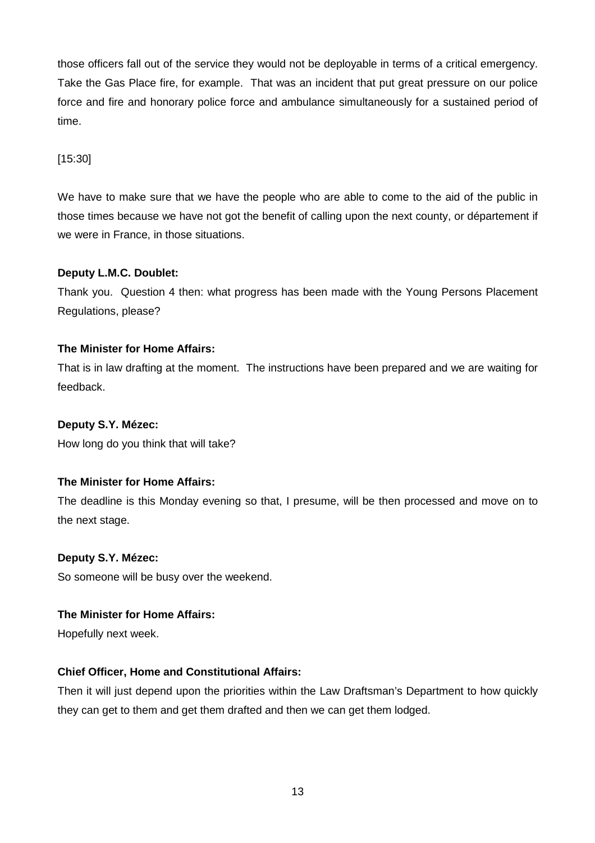those officers fall out of the service they would not be deployable in terms of a critical emergency. Take the Gas Place fire, for example. That was an incident that put great pressure on our police force and fire and honorary police force and ambulance simultaneously for a sustained period of time.

## [15:30]

We have to make sure that we have the people who are able to come to the aid of the public in those times because we have not got the benefit of calling upon the next county, or département if we were in France, in those situations.

## **Deputy L.M.C. Doublet:**

Thank you. Question 4 then: what progress has been made with the Young Persons Placement Regulations, please?

## **The Minister for Home Affairs:**

That is in law drafting at the moment. The instructions have been prepared and we are waiting for feedback.

## **Deputy S.Y. Mézec:**

How long do you think that will take?

## **The Minister for Home Affairs:**

The deadline is this Monday evening so that, I presume, will be then processed and move on to the next stage.

#### **Deputy S.Y. Mézec:**

So someone will be busy over the weekend.

#### **The Minister for Home Affairs:**

Hopefully next week.

## **Chief Officer, Home and Constitutional Affairs:**

Then it will just depend upon the priorities within the Law Draftsman's Department to how quickly they can get to them and get them drafted and then we can get them lodged.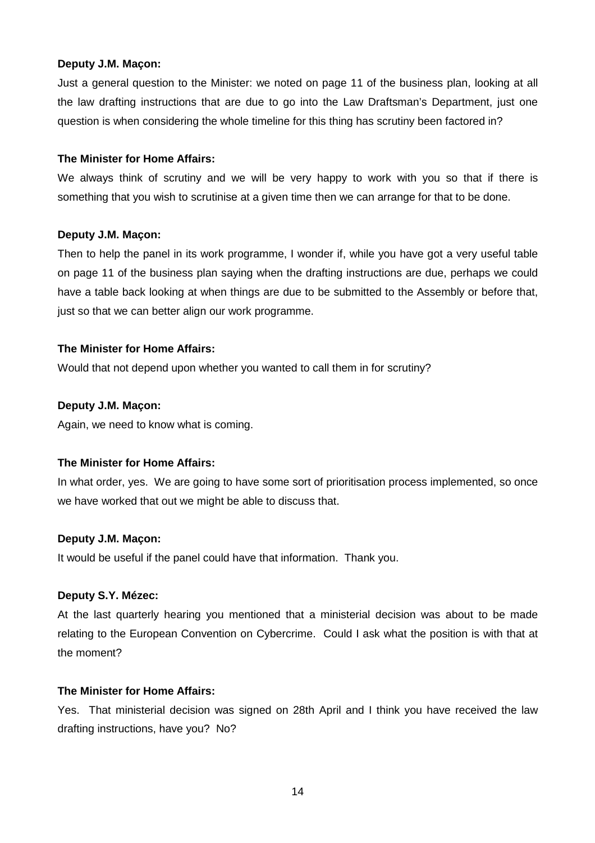#### **Deputy J.M. Maçon:**

Just a general question to the Minister: we noted on page 11 of the business plan, looking at all the law drafting instructions that are due to go into the Law Draftsman's Department, just one question is when considering the whole timeline for this thing has scrutiny been factored in?

#### **The Minister for Home Affairs:**

We always think of scrutiny and we will be very happy to work with you so that if there is something that you wish to scrutinise at a given time then we can arrange for that to be done.

#### **Deputy J.M. Maçon:**

Then to help the panel in its work programme, I wonder if, while you have got a very useful table on page 11 of the business plan saying when the drafting instructions are due, perhaps we could have a table back looking at when things are due to be submitted to the Assembly or before that, just so that we can better align our work programme.

#### **The Minister for Home Affairs:**

Would that not depend upon whether you wanted to call them in for scrutiny?

#### **Deputy J.M. Maçon:**

Again, we need to know what is coming.

#### **The Minister for Home Affairs:**

In what order, yes. We are going to have some sort of prioritisation process implemented, so once we have worked that out we might be able to discuss that.

#### **Deputy J.M. Maçon:**

It would be useful if the panel could have that information. Thank you.

#### **Deputy S.Y. Mézec:**

At the last quarterly hearing you mentioned that a ministerial decision was about to be made relating to the European Convention on Cybercrime. Could I ask what the position is with that at the moment?

#### **The Minister for Home Affairs:**

Yes. That ministerial decision was signed on 28th April and I think you have received the law drafting instructions, have you? No?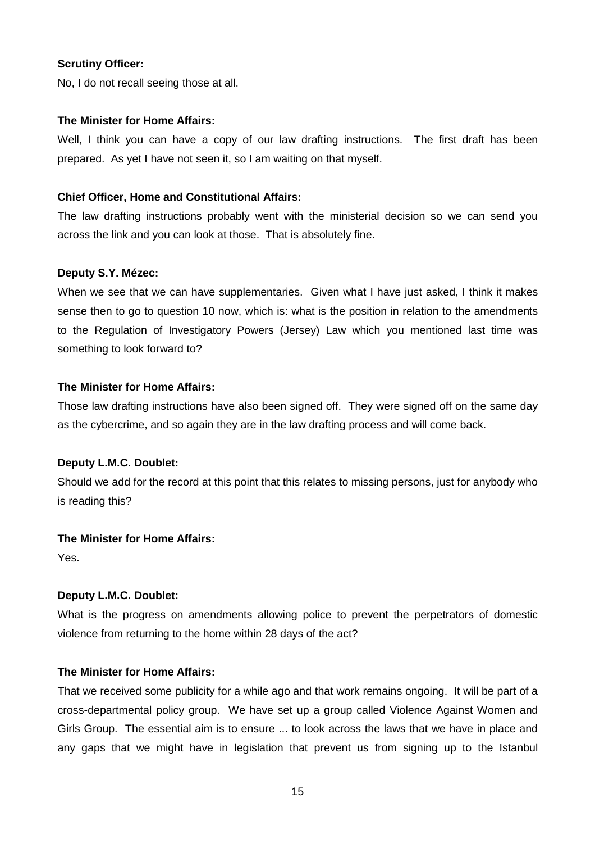## **Scrutiny Officer:**

No, I do not recall seeing those at all.

#### **The Minister for Home Affairs:**

Well, I think you can have a copy of our law drafting instructions. The first draft has been prepared. As yet I have not seen it, so I am waiting on that myself.

## **Chief Officer, Home and Constitutional Affairs:**

The law drafting instructions probably went with the ministerial decision so we can send you across the link and you can look at those. That is absolutely fine.

#### **Deputy S.Y. Mézec:**

When we see that we can have supplementaries. Given what I have just asked, I think it makes sense then to go to question 10 now, which is: what is the position in relation to the amendments to the Regulation of Investigatory Powers (Jersey) Law which you mentioned last time was something to look forward to?

#### **The Minister for Home Affairs:**

Those law drafting instructions have also been signed off. They were signed off on the same day as the cybercrime, and so again they are in the law drafting process and will come back.

#### **Deputy L.M.C. Doublet:**

Should we add for the record at this point that this relates to missing persons, just for anybody who is reading this?

#### **The Minister for Home Affairs:**

Yes.

#### **Deputy L.M.C. Doublet:**

What is the progress on amendments allowing police to prevent the perpetrators of domestic violence from returning to the home within 28 days of the act?

#### **The Minister for Home Affairs:**

That we received some publicity for a while ago and that work remains ongoing. It will be part of a cross-departmental policy group. We have set up a group called Violence Against Women and Girls Group. The essential aim is to ensure ... to look across the laws that we have in place and any gaps that we might have in legislation that prevent us from signing up to the Istanbul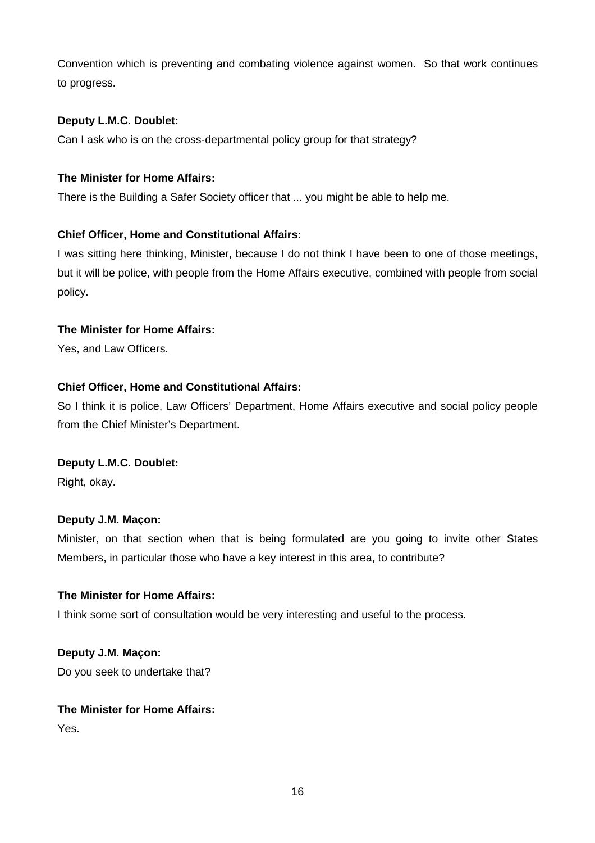Convention which is preventing and combating violence against women. So that work continues to progress.

## **Deputy L.M.C. Doublet:**

Can I ask who is on the cross-departmental policy group for that strategy?

## **The Minister for Home Affairs:**

There is the Building a Safer Society officer that ... you might be able to help me.

## **Chief Officer, Home and Constitutional Affairs:**

I was sitting here thinking, Minister, because I do not think I have been to one of those meetings, but it will be police, with people from the Home Affairs executive, combined with people from social policy.

## **The Minister for Home Affairs:**

Yes, and Law Officers.

## **Chief Officer, Home and Constitutional Affairs:**

So I think it is police, Law Officers' Department, Home Affairs executive and social policy people from the Chief Minister's Department.

#### **Deputy L.M.C. Doublet:**

Right, okay.

#### **Deputy J.M. Maçon:**

Minister, on that section when that is being formulated are you going to invite other States Members, in particular those who have a key interest in this area, to contribute?

#### **The Minister for Home Affairs:**

I think some sort of consultation would be very interesting and useful to the process.

**Deputy J.M. Maçon:** Do you seek to undertake that?

## **The Minister for Home Affairs:**

Yes.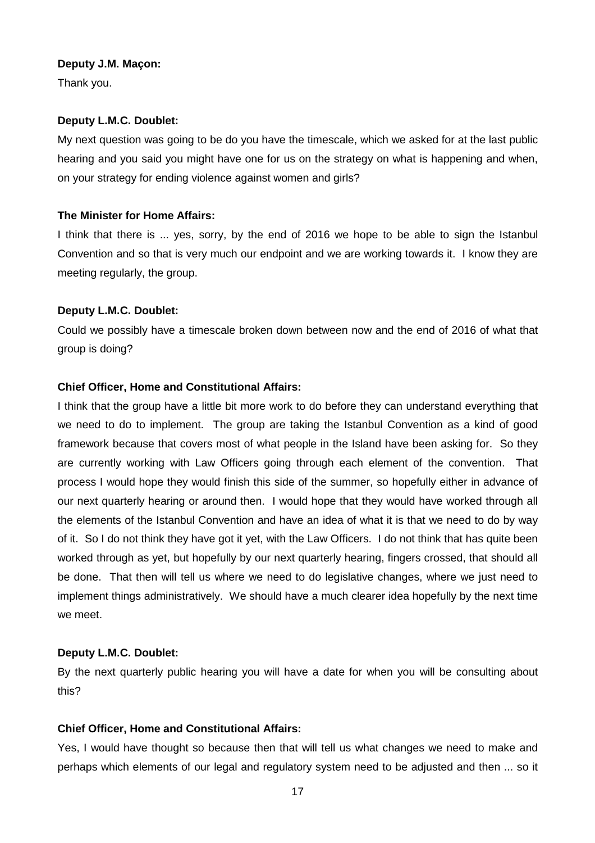#### **Deputy J.M. Maçon:**

Thank you.

## **Deputy L.M.C. Doublet:**

My next question was going to be do you have the timescale, which we asked for at the last public hearing and you said you might have one for us on the strategy on what is happening and when, on your strategy for ending violence against women and girls?

## **The Minister for Home Affairs:**

I think that there is ... yes, sorry, by the end of 2016 we hope to be able to sign the Istanbul Convention and so that is very much our endpoint and we are working towards it. I know they are meeting regularly, the group.

## **Deputy L.M.C. Doublet:**

Could we possibly have a timescale broken down between now and the end of 2016 of what that group is doing?

## **Chief Officer, Home and Constitutional Affairs:**

I think that the group have a little bit more work to do before they can understand everything that we need to do to implement. The group are taking the Istanbul Convention as a kind of good framework because that covers most of what people in the Island have been asking for. So they are currently working with Law Officers going through each element of the convention. That process I would hope they would finish this side of the summer, so hopefully either in advance of our next quarterly hearing or around then. I would hope that they would have worked through all the elements of the Istanbul Convention and have an idea of what it is that we need to do by way of it. So I do not think they have got it yet, with the Law Officers. I do not think that has quite been worked through as yet, but hopefully by our next quarterly hearing, fingers crossed, that should all be done. That then will tell us where we need to do legislative changes, where we just need to implement things administratively. We should have a much clearer idea hopefully by the next time we meet.

## **Deputy L.M.C. Doublet:**

By the next quarterly public hearing you will have a date for when you will be consulting about this?

#### **Chief Officer, Home and Constitutional Affairs:**

Yes, I would have thought so because then that will tell us what changes we need to make and perhaps which elements of our legal and regulatory system need to be adjusted and then ... so it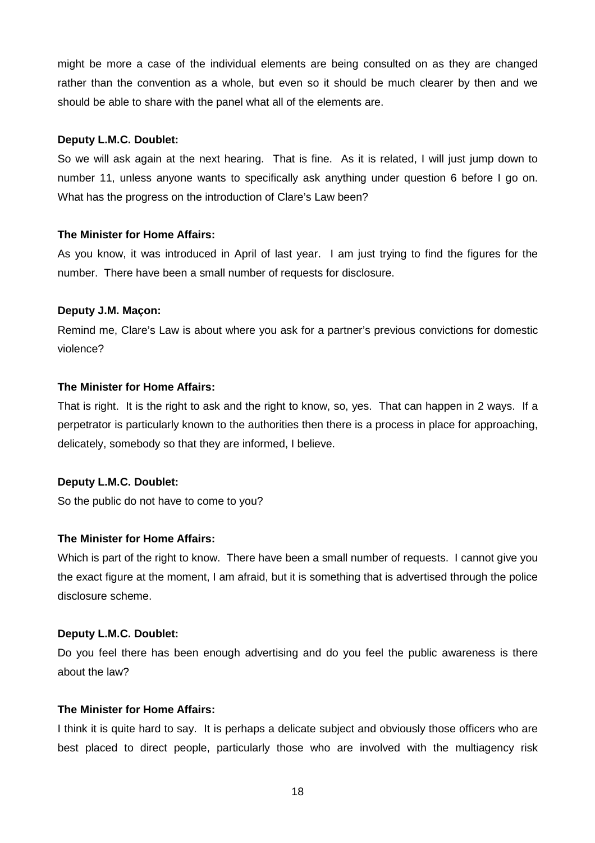might be more a case of the individual elements are being consulted on as they are changed rather than the convention as a whole, but even so it should be much clearer by then and we should be able to share with the panel what all of the elements are.

#### **Deputy L.M.C. Doublet:**

So we will ask again at the next hearing. That is fine. As it is related, I will just jump down to number 11, unless anyone wants to specifically ask anything under question 6 before I go on. What has the progress on the introduction of Clare's Law been?

## **The Minister for Home Affairs:**

As you know, it was introduced in April of last year. I am just trying to find the figures for the number. There have been a small number of requests for disclosure.

## **Deputy J.M. Maçon:**

Remind me, Clare's Law is about where you ask for a partner's previous convictions for domestic violence?

## **The Minister for Home Affairs:**

That is right. It is the right to ask and the right to know, so, yes. That can happen in 2 ways. If a perpetrator is particularly known to the authorities then there is a process in place for approaching, delicately, somebody so that they are informed, I believe.

## **Deputy L.M.C. Doublet:**

So the public do not have to come to you?

## **The Minister for Home Affairs:**

Which is part of the right to know. There have been a small number of requests. I cannot give you the exact figure at the moment, I am afraid, but it is something that is advertised through the police disclosure scheme.

#### **Deputy L.M.C. Doublet:**

Do you feel there has been enough advertising and do you feel the public awareness is there about the law?

#### **The Minister for Home Affairs:**

I think it is quite hard to say. It is perhaps a delicate subject and obviously those officers who are best placed to direct people, particularly those who are involved with the multiagency risk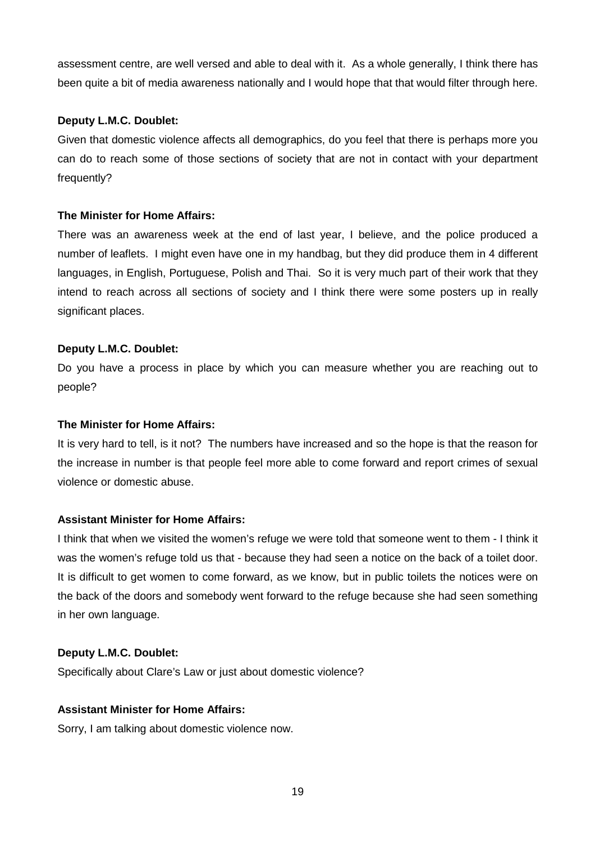assessment centre, are well versed and able to deal with it. As a whole generally, I think there has been quite a bit of media awareness nationally and I would hope that that would filter through here.

## **Deputy L.M.C. Doublet:**

Given that domestic violence affects all demographics, do you feel that there is perhaps more you can do to reach some of those sections of society that are not in contact with your department frequently?

## **The Minister for Home Affairs:**

There was an awareness week at the end of last year, I believe, and the police produced a number of leaflets. I might even have one in my handbag, but they did produce them in 4 different languages, in English, Portuguese, Polish and Thai. So it is very much part of their work that they intend to reach across all sections of society and I think there were some posters up in really significant places.

## **Deputy L.M.C. Doublet:**

Do you have a process in place by which you can measure whether you are reaching out to people?

## **The Minister for Home Affairs:**

It is very hard to tell, is it not? The numbers have increased and so the hope is that the reason for the increase in number is that people feel more able to come forward and report crimes of sexual violence or domestic abuse.

## **Assistant Minister for Home Affairs:**

I think that when we visited the women's refuge we were told that someone went to them - I think it was the women's refuge told us that - because they had seen a notice on the back of a toilet door. It is difficult to get women to come forward, as we know, but in public toilets the notices were on the back of the doors and somebody went forward to the refuge because she had seen something in her own language.

#### **Deputy L.M.C. Doublet:**

Specifically about Clare's Law or just about domestic violence?

#### **Assistant Minister for Home Affairs:**

Sorry, I am talking about domestic violence now.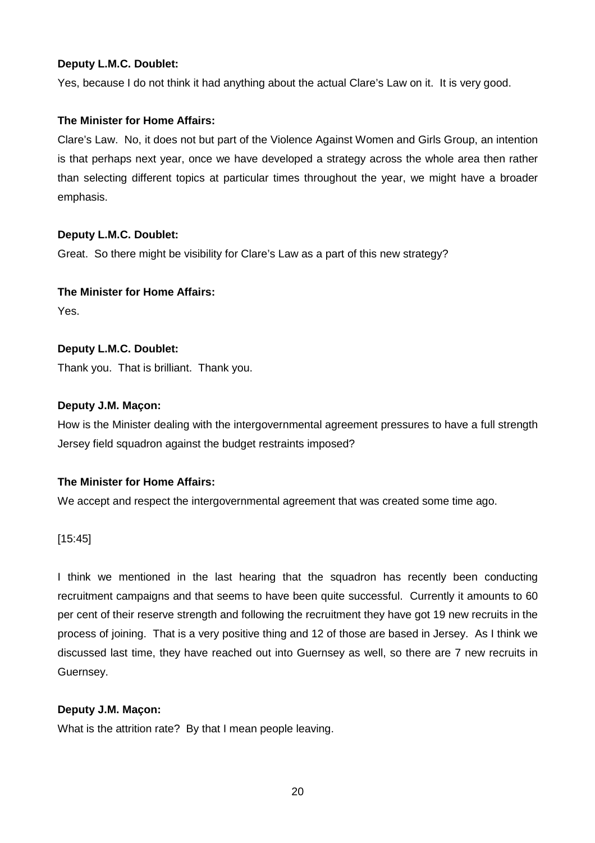Yes, because I do not think it had anything about the actual Clare's Law on it. It is very good.

## **The Minister for Home Affairs:**

Clare's Law. No, it does not but part of the Violence Against Women and Girls Group, an intention is that perhaps next year, once we have developed a strategy across the whole area then rather than selecting different topics at particular times throughout the year, we might have a broader emphasis.

## **Deputy L.M.C. Doublet:**

Great. So there might be visibility for Clare's Law as a part of this new strategy?

#### **The Minister for Home Affairs:**

Yes.

## **Deputy L.M.C. Doublet:**

Thank you. That is brilliant. Thank you.

#### **Deputy J.M. Maçon:**

How is the Minister dealing with the intergovernmental agreement pressures to have a full strength Jersey field squadron against the budget restraints imposed?

## **The Minister for Home Affairs:**

We accept and respect the intergovernmental agreement that was created some time ago.

[15:45]

I think we mentioned in the last hearing that the squadron has recently been conducting recruitment campaigns and that seems to have been quite successful. Currently it amounts to 60 per cent of their reserve strength and following the recruitment they have got 19 new recruits in the process of joining. That is a very positive thing and 12 of those are based in Jersey. As I think we discussed last time, they have reached out into Guernsey as well, so there are 7 new recruits in Guernsey.

## **Deputy J.M. Maçon:**

What is the attrition rate? By that I mean people leaving.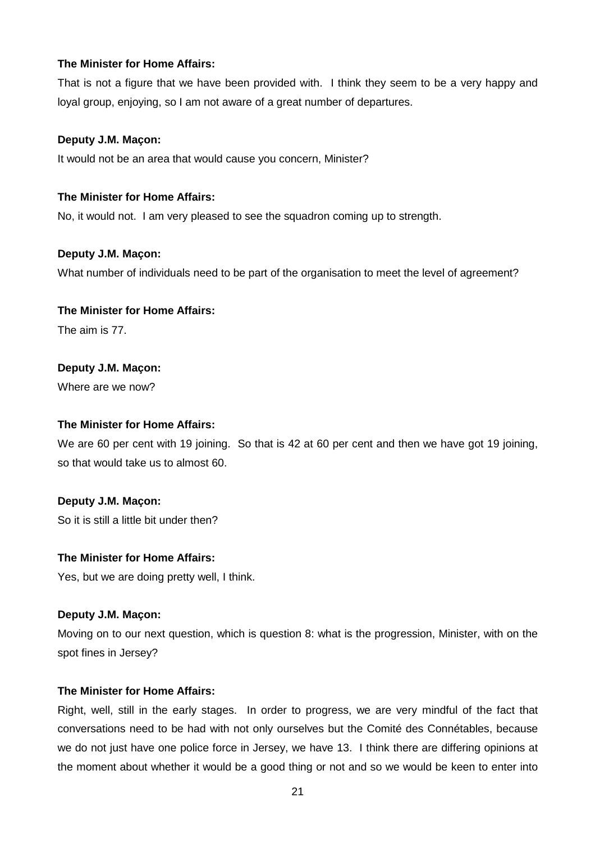## **The Minister for Home Affairs:**

That is not a figure that we have been provided with. I think they seem to be a very happy and loyal group, enjoying, so I am not aware of a great number of departures.

#### **Deputy J.M. Maçon:**

It would not be an area that would cause you concern, Minister?

#### **The Minister for Home Affairs:**

No, it would not. I am very pleased to see the squadron coming up to strength.

#### **Deputy J.M. Maçon:**

What number of individuals need to be part of the organisation to meet the level of agreement?

#### **The Minister for Home Affairs:**

The aim is 77.

#### **Deputy J.M. Maçon:**

Where are we now?

#### **The Minister for Home Affairs:**

We are 60 per cent with 19 joining. So that is 42 at 60 per cent and then we have got 19 joining, so that would take us to almost 60.

#### **Deputy J.M. Maçon:**

So it is still a little bit under then?

## **The Minister for Home Affairs:**

Yes, but we are doing pretty well, I think.

#### **Deputy J.M. Maçon:**

Moving on to our next question, which is question 8: what is the progression, Minister, with on the spot fines in Jersey?

#### **The Minister for Home Affairs:**

Right, well, still in the early stages. In order to progress, we are very mindful of the fact that conversations need to be had with not only ourselves but the Comité des Connétables, because we do not just have one police force in Jersey, we have 13. I think there are differing opinions at the moment about whether it would be a good thing or not and so we would be keen to enter into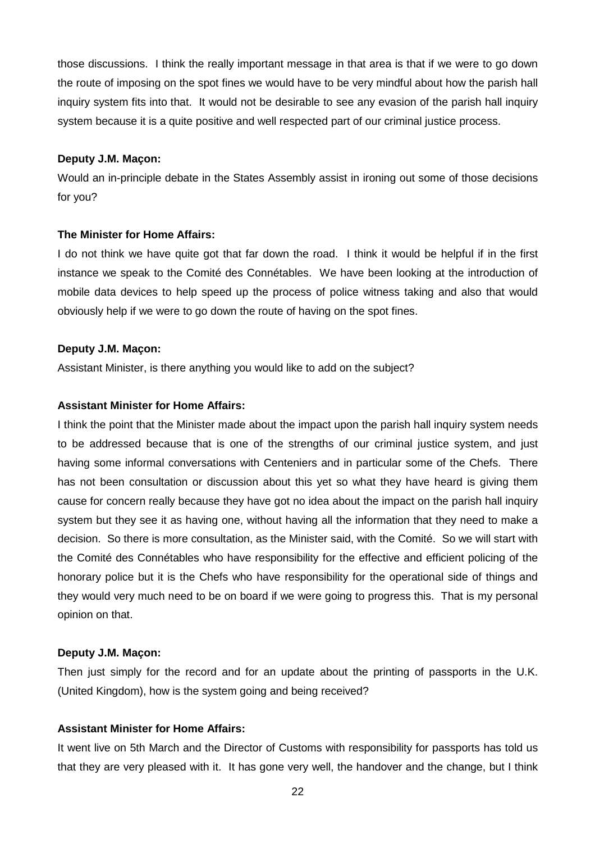those discussions. I think the really important message in that area is that if we were to go down the route of imposing on the spot fines we would have to be very mindful about how the parish hall inquiry system fits into that. It would not be desirable to see any evasion of the parish hall inquiry system because it is a quite positive and well respected part of our criminal justice process.

#### **Deputy J.M. Maçon:**

Would an in-principle debate in the States Assembly assist in ironing out some of those decisions for you?

#### **The Minister for Home Affairs:**

I do not think we have quite got that far down the road. I think it would be helpful if in the first instance we speak to the Comité des Connétables. We have been looking at the introduction of mobile data devices to help speed up the process of police witness taking and also that would obviously help if we were to go down the route of having on the spot fines.

#### **Deputy J.M. Maçon:**

Assistant Minister, is there anything you would like to add on the subject?

#### **Assistant Minister for Home Affairs:**

I think the point that the Minister made about the impact upon the parish hall inquiry system needs to be addressed because that is one of the strengths of our criminal justice system, and just having some informal conversations with Centeniers and in particular some of the Chefs. There has not been consultation or discussion about this yet so what they have heard is giving them cause for concern really because they have got no idea about the impact on the parish hall inquiry system but they see it as having one, without having all the information that they need to make a decision. So there is more consultation, as the Minister said, with the Comité. So we will start with the Comité des Connétables who have responsibility for the effective and efficient policing of the honorary police but it is the Chefs who have responsibility for the operational side of things and they would very much need to be on board if we were going to progress this. That is my personal opinion on that.

#### **Deputy J.M. Maçon:**

Then just simply for the record and for an update about the printing of passports in the U.K. (United Kingdom), how is the system going and being received?

#### **Assistant Minister for Home Affairs:**

It went live on 5th March and the Director of Customs with responsibility for passports has told us that they are very pleased with it. It has gone very well, the handover and the change, but I think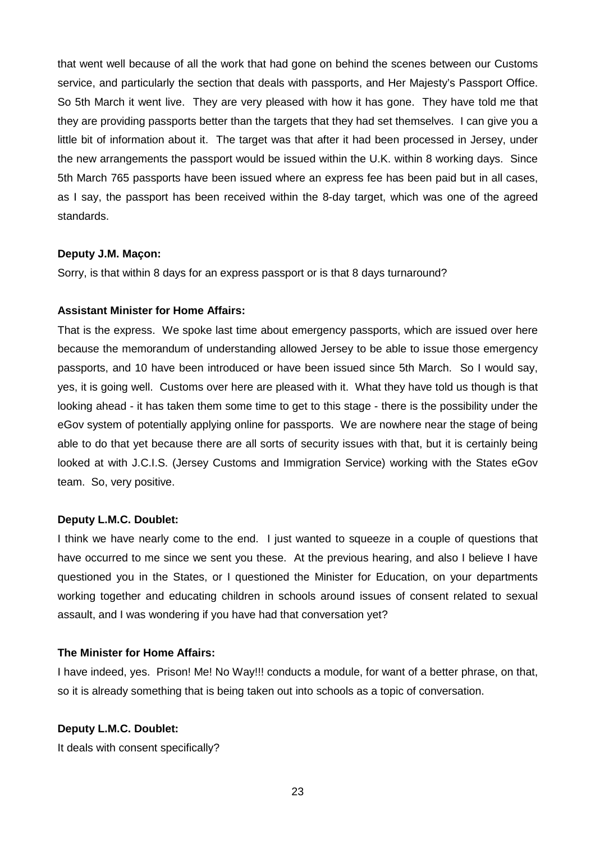that went well because of all the work that had gone on behind the scenes between our Customs service, and particularly the section that deals with passports, and Her Majesty's Passport Office. So 5th March it went live. They are very pleased with how it has gone. They have told me that they are providing passports better than the targets that they had set themselves. I can give you a little bit of information about it. The target was that after it had been processed in Jersey, under the new arrangements the passport would be issued within the U.K. within 8 working days. Since 5th March 765 passports have been issued where an express fee has been paid but in all cases, as I say, the passport has been received within the 8-day target, which was one of the agreed standards.

#### **Deputy J.M. Maçon:**

Sorry, is that within 8 days for an express passport or is that 8 days turnaround?

#### **Assistant Minister for Home Affairs:**

That is the express. We spoke last time about emergency passports, which are issued over here because the memorandum of understanding allowed Jersey to be able to issue those emergency passports, and 10 have been introduced or have been issued since 5th March. So I would say, yes, it is going well. Customs over here are pleased with it. What they have told us though is that looking ahead - it has taken them some time to get to this stage - there is the possibility under the eGov system of potentially applying online for passports. We are nowhere near the stage of being able to do that yet because there are all sorts of security issues with that, but it is certainly being looked at with J.C.I.S. (Jersey Customs and Immigration Service) working with the States eGov team. So, very positive.

#### **Deputy L.M.C. Doublet:**

I think we have nearly come to the end. I just wanted to squeeze in a couple of questions that have occurred to me since we sent you these. At the previous hearing, and also I believe I have questioned you in the States, or I questioned the Minister for Education, on your departments working together and educating children in schools around issues of consent related to sexual assault, and I was wondering if you have had that conversation yet?

## **The Minister for Home Affairs:**

I have indeed, yes. Prison! Me! No Way!!! conducts a module, for want of a better phrase, on that, so it is already something that is being taken out into schools as a topic of conversation.

#### **Deputy L.M.C. Doublet:**

It deals with consent specifically?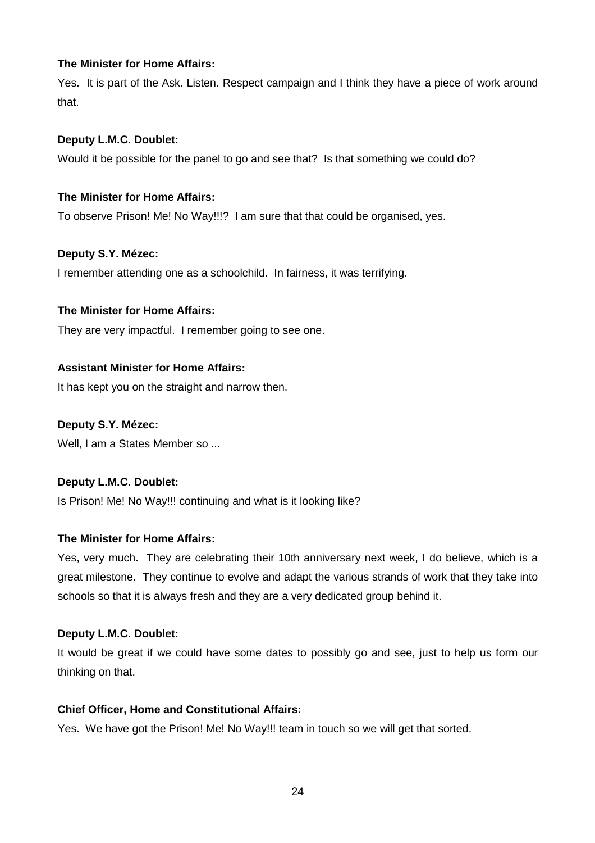## **The Minister for Home Affairs:**

Yes. It is part of the Ask. Listen. Respect campaign and I think they have a piece of work around that.

## **Deputy L.M.C. Doublet:**

Would it be possible for the panel to go and see that? Is that something we could do?

## **The Minister for Home Affairs:**

To observe Prison! Me! No Way!!!? I am sure that that could be organised, yes.

## **Deputy S.Y. Mézec:**

I remember attending one as a schoolchild. In fairness, it was terrifying.

## **The Minister for Home Affairs:**

They are very impactful. I remember going to see one.

## **Assistant Minister for Home Affairs:**

It has kept you on the straight and narrow then.

## **Deputy S.Y. Mézec:**

Well, I am a States Member so ...

#### **Deputy L.M.C. Doublet:**

Is Prison! Me! No Way!!! continuing and what is it looking like?

#### **The Minister for Home Affairs:**

Yes, very much. They are celebrating their 10th anniversary next week, I do believe, which is a great milestone. They continue to evolve and adapt the various strands of work that they take into schools so that it is always fresh and they are a very dedicated group behind it.

#### **Deputy L.M.C. Doublet:**

It would be great if we could have some dates to possibly go and see, just to help us form our thinking on that.

#### **Chief Officer, Home and Constitutional Affairs:**

Yes. We have got the Prison! Me! No Way!!! team in touch so we will get that sorted.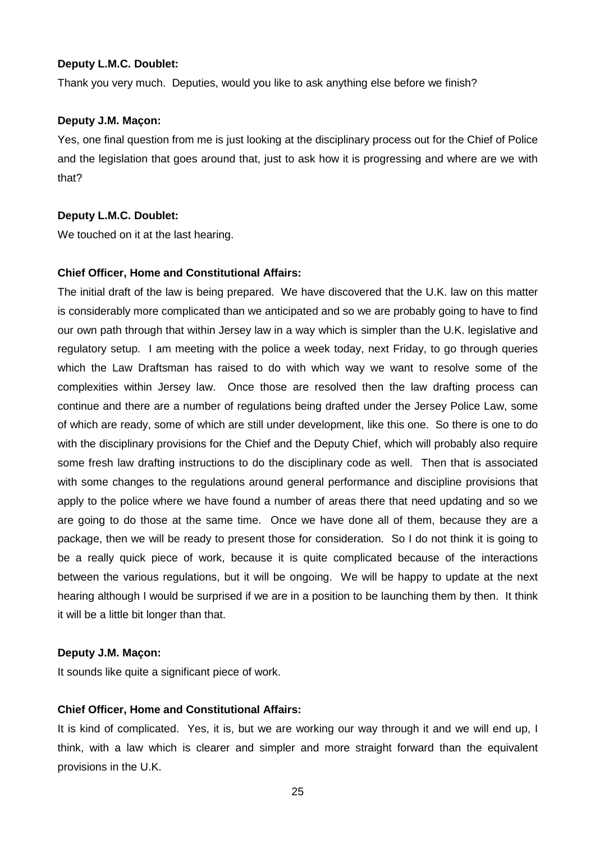Thank you very much. Deputies, would you like to ask anything else before we finish?

#### **Deputy J.M. Maçon:**

Yes, one final question from me is just looking at the disciplinary process out for the Chief of Police and the legislation that goes around that, just to ask how it is progressing and where are we with that?

#### **Deputy L.M.C. Doublet:**

We touched on it at the last hearing.

#### **Chief Officer, Home and Constitutional Affairs:**

The initial draft of the law is being prepared. We have discovered that the U.K. law on this matter is considerably more complicated than we anticipated and so we are probably going to have to find our own path through that within Jersey law in a way which is simpler than the U.K. legislative and regulatory setup. I am meeting with the police a week today, next Friday, to go through queries which the Law Draftsman has raised to do with which way we want to resolve some of the complexities within Jersey law. Once those are resolved then the law drafting process can continue and there are a number of regulations being drafted under the Jersey Police Law, some of which are ready, some of which are still under development, like this one. So there is one to do with the disciplinary provisions for the Chief and the Deputy Chief, which will probably also require some fresh law drafting instructions to do the disciplinary code as well. Then that is associated with some changes to the regulations around general performance and discipline provisions that apply to the police where we have found a number of areas there that need updating and so we are going to do those at the same time. Once we have done all of them, because they are a package, then we will be ready to present those for consideration. So I do not think it is going to be a really quick piece of work, because it is quite complicated because of the interactions between the various regulations, but it will be ongoing. We will be happy to update at the next hearing although I would be surprised if we are in a position to be launching them by then. It think it will be a little bit longer than that.

#### **Deputy J.M. Maçon:**

It sounds like quite a significant piece of work.

#### **Chief Officer, Home and Constitutional Affairs:**

It is kind of complicated. Yes, it is, but we are working our way through it and we will end up, I think, with a law which is clearer and simpler and more straight forward than the equivalent provisions in the U.K.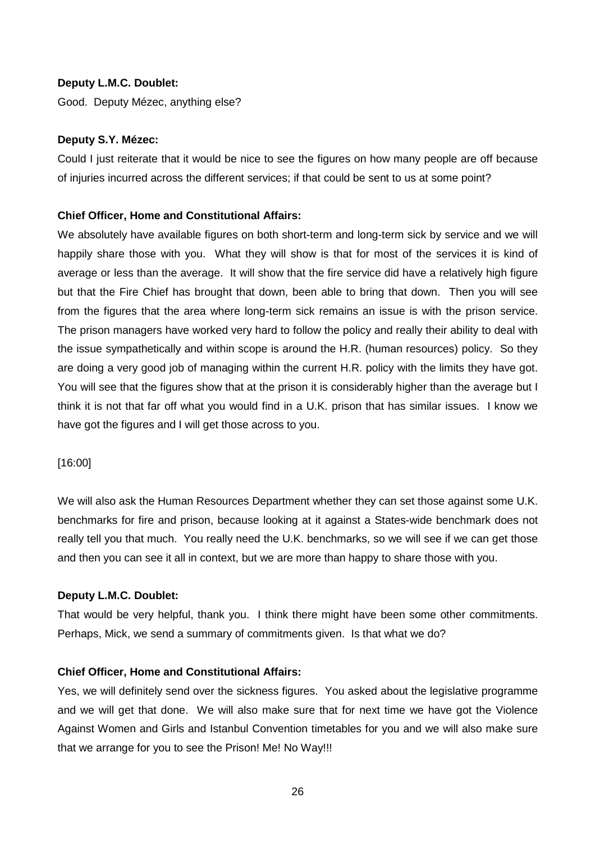Good. Deputy Mézec, anything else?

#### **Deputy S.Y. Mézec:**

Could I just reiterate that it would be nice to see the figures on how many people are off because of injuries incurred across the different services; if that could be sent to us at some point?

#### **Chief Officer, Home and Constitutional Affairs:**

We absolutely have available figures on both short-term and long-term sick by service and we will happily share those with you. What they will show is that for most of the services it is kind of average or less than the average. It will show that the fire service did have a relatively high figure but that the Fire Chief has brought that down, been able to bring that down. Then you will see from the figures that the area where long-term sick remains an issue is with the prison service. The prison managers have worked very hard to follow the policy and really their ability to deal with the issue sympathetically and within scope is around the H.R. (human resources) policy. So they are doing a very good job of managing within the current H.R. policy with the limits they have got. You will see that the figures show that at the prison it is considerably higher than the average but I think it is not that far off what you would find in a U.K. prison that has similar issues. I know we have got the figures and I will get those across to you.

#### [16:00]

We will also ask the Human Resources Department whether they can set those against some U.K. benchmarks for fire and prison, because looking at it against a States-wide benchmark does not really tell you that much. You really need the U.K. benchmarks, so we will see if we can get those and then you can see it all in context, but we are more than happy to share those with you.

#### **Deputy L.M.C. Doublet:**

That would be very helpful, thank you. I think there might have been some other commitments. Perhaps, Mick, we send a summary of commitments given. Is that what we do?

#### **Chief Officer, Home and Constitutional Affairs:**

Yes, we will definitely send over the sickness figures. You asked about the legislative programme and we will get that done. We will also make sure that for next time we have got the Violence Against Women and Girls and Istanbul Convention timetables for you and we will also make sure that we arrange for you to see the Prison! Me! No Way!!!